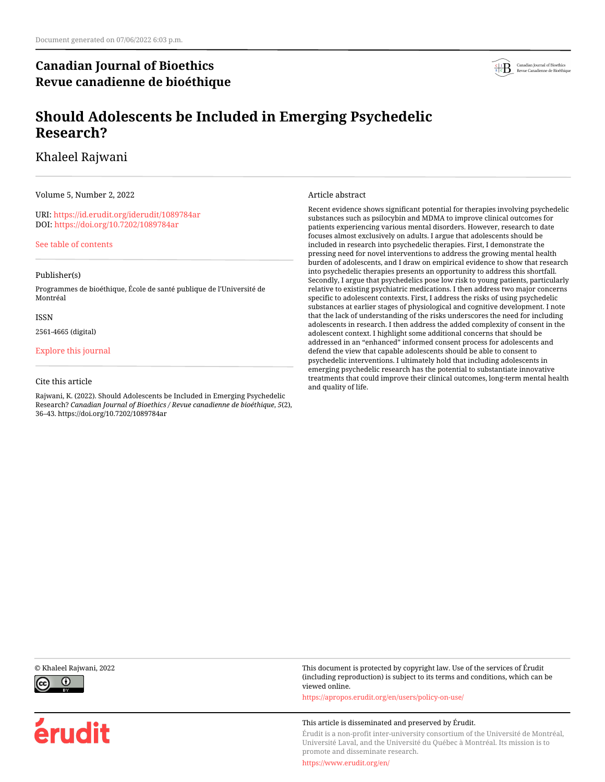# **Canadian Journal of Bioethics Revue canadienne de bioéthique**



# **Should Adolescents be Included in Emerging Psychedelic Research?**

# Khaleel Rajwani

Volume 5, Number 2, 2022

URI:<https://id.erudit.org/iderudit/1089784ar> DOI:<https://doi.org/10.7202/1089784ar>

[See table of contents](https://www.erudit.org/en/journals/bioethics/2022-v5-n2-bioethics07048/)

## Publisher(s)

Programmes de bioéthique, École de santé publique de l'Université de Montréal

### ISSN

2561-4665 (digital)

## [Explore this journal](https://www.erudit.org/en/journals/bioethics/)

## Cite this article

Rajwani, K. (2022). Should Adolescents be Included in Emerging Psychedelic Research? *Canadian Journal of Bioethics / Revue canadienne de bioéthique*, *5*(2), 36–43. https://doi.org/10.7202/1089784ar

### Article abstract

Recent evidence shows significant potential for therapies involving psychedelic substances such as psilocybin and MDMA to improve clinical outcomes for patients experiencing various mental disorders. However, research to date focuses almost exclusively on adults. I argue that adolescents should be included in research into psychedelic therapies. First, I demonstrate the pressing need for novel interventions to address the growing mental health burden of adolescents, and I draw on empirical evidence to show that research into psychedelic therapies presents an opportunity to address this shortfall. Secondly, I argue that psychedelics pose low risk to young patients, particularly relative to existing psychiatric medications. I then address two major concerns specific to adolescent contexts. First, I address the risks of using psychedelic substances at earlier stages of physiological and cognitive development. I note that the lack of understanding of the risks underscores the need for including adolescents in research. I then address the added complexity of consent in the adolescent context. I highlight some additional concerns that should be addressed in an "enhanced" informed consent process for adolescents and defend the view that capable adolescents should be able to consent to psychedelic interventions. I ultimately hold that including adolescents in emerging psychedelic research has the potential to substantiate innovative treatments that could improve their clinical outcomes, long-term mental health and quality of life.



érudit

© Khaleel Rajwani, 2022 This document is protected by copyright law. Use of the services of Érudit (including reproduction) is subject to its terms and conditions, which can be viewed online.

<https://apropos.erudit.org/en/users/policy-on-use/>

### This article is disseminated and preserved by Érudit.

Érudit is a non-profit inter-university consortium of the Université de Montréal, Université Laval, and the Université du Québec à Montréal. Its mission is to promote and disseminate research.

<https://www.erudit.org/en/>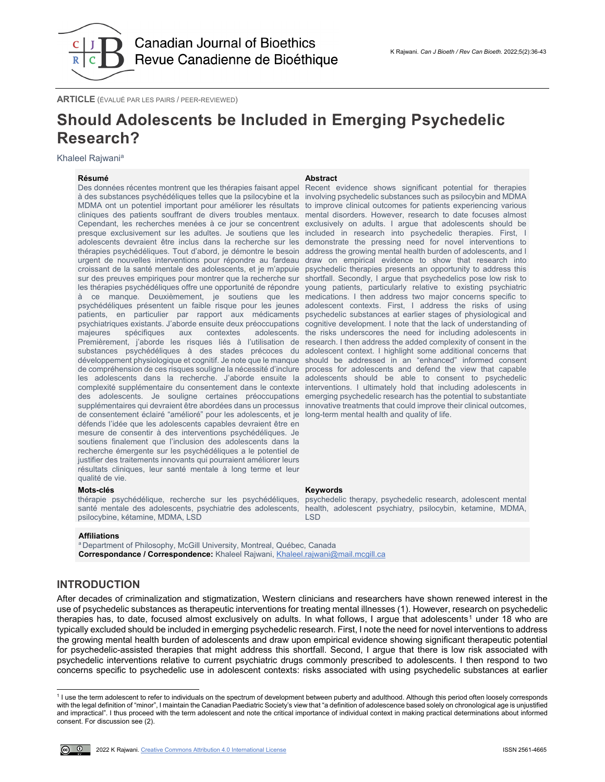

**ARTICLE** (ÉVALUÉ PAR LES PAIRS / PEER-REVIEWED)

# **Should Adolescents be Included in Emerging Psychedelic Research?**

Khaleel Rajwania

### **Résumé Abstract**

Des données récentes montrent que les thérapies faisant appel à des substances psychédéliques telles que la psilocybine et la MDMA ont un potentiel important pour améliorer les résultats to improve clinical outcomes for patients experiencing various cliniques des patients souffrant de divers troubles mentaux. Cependant, les recherches menées à ce jour se concentrent presque exclusivement sur les adultes. Je soutiens que les included in research into psychedelic therapies. First, I adolescents devraient être inclus dans la recherche sur les demonstrate the pressing need for novel interventions to thérapies psychédéliques. Tout d'abord, je démontre le besoin address the growing mental health burden of adolescents, and I urgent de nouvelles interventions pour répondre au fardeau draw on empirical evidence to show that research into croissant de la santé mentale des adolescents, et je m'appuie psychedelic therapies presents an opportunity to address this sur des preuves empiriques pour montrer que la recherche sur shortfall. Secondly, I argue that psychedelics pose low risk to les thérapies psychédéliques offre une opportunité de répondre young patients, particularly relative to existing psychiatric à ce manque. Deuxièmement, je soutiens que les psychédéliques présentent un faible risque pour les jeunes adolescent contexts. First, I address the risks of using patients, en particulier par rapport aux médicaments psychedelic substances at earlier stages of physiological and psychiatriques existants. J'aborde ensuite deux préoccupations cognitive development. I note that the lack of understanding of majeures spécifiques aux contextes adolescents. Premièrement, j'aborde les risques liés à l'utilisation de research. I then address the added complexity of consent in the substances psychédéliques à des stades précoces du adolescent context. I highlight some additional concerns that développement physiologique et cognitif. Je note que le manque should be addressed in an "enhanced" informed consent de compréhension de ces risques souligne la nécessité d'inclure process for adolescents and defend the view that capable les adolescents dans la recherche. J'aborde ensuite la adolescents should be able to consent to psychedelic complexité supplémentaire du consentement dans le contexte interventions. I ultimately hold that including adolescents in des adolescents. Je souligne certaines préoccupations emerging psychedelic research has the potential to substantiate supplémentaires qui devraient être abordées dans un processus innovative treatments that could improve their clinical outcomes, de consentement éclairé "amélioré" pour les adolescents, et je long-term mental health and quality of life. défends l'idée que les adolescents capables devraient être en mesure de consentir à des interventions psychédéliques. Je soutiens finalement que l'inclusion des adolescents dans la recherche émergente sur les psychédéliques a le potentiel de justifier des traitements innovants qui pourraient améliorer leurs résultats cliniques, leur santé mentale à long terme et leur qualité de vie.

### **Mots-clés Keywords**

thérapie psychédélique, recherche sur les psychédéliques, santé mentale des adolescents, psychiatrie des adolescents, psilocybine, kétamine, MDMA, LSD

Recent evidence shows significant potential for therapies involving psychedelic substances such as psilocybin and MDMA mental disorders. However, research to date focuses almost exclusively on adults. I argue that adolescents should be medications. I then address two major concerns specific to the risks underscores the need for including adolescents in

psychedelic therapy, psychedelic research, adolescent mental health, adolescent psychiatry, psilocybin, ketamine, MDMA, LSD

### **Affiliations**

<sup>a</sup> Department of Philosophy, McGill University, Montreal, Québec, Canada **Correspondance / Correspondence:** Khaleel Rajwani, [Khaleel.rajwani@mail.mcgill.ca](mailto:Khaleel.rajwani@mail.mcgill.ca)

# **INTRODUCTION**

After decades of criminalization and stigmatization, Western clinicians and researchers have shown renewed interest in the use of psychedelic substances as therapeutic interventions for treating mental illnesses (1). However, research on psychedelic therapies has, to date, focused almost exclusively on adults. In what follows, I argue that adolescents<sup>[1](#page-1-0)</sup> under 18 who are typically excluded should be included in emerging psychedelic research. First, I note the need for novel interventions to address the growing mental health burden of adolescents and draw upon empirical evidence showing significant therapeutic potential for psychedelic-assisted therapies that might address this shortfall. Second, I argue that there is low risk associated with psychedelic interventions relative to current psychiatric drugs commonly prescribed to adolescents. I then respond to two concerns specific to psychedelic use in adolescent contexts: risks associated with using psychedelic substances at earlier

<span id="page-1-0"></span><sup>1</sup> I use the term adolescent to refer to individuals on the spectrum of development between puberty and adulthood. Although this period often loosely corresponds with the legal definition of "minor", I maintain the Canadian Paediatric Society's view that "a definition of adolescence based solely on chronological age is unjustified and impractical". I thus proceed with the term adolescent and note the critical importance of individual context in making practical determinations about informed consent. For discussion see (2).



j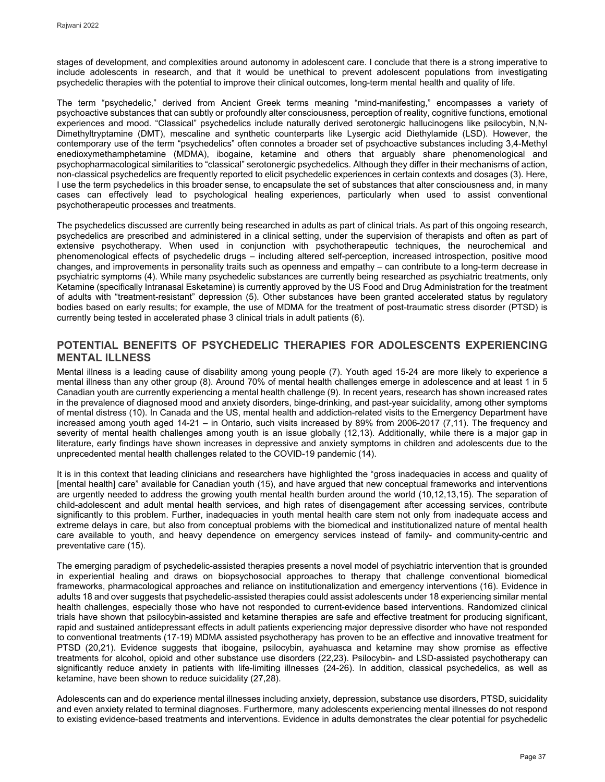stages of development, and complexities around autonomy in adolescent care. I conclude that there is a strong imperative to include adolescents in research, and that it would be unethical to prevent adolescent populations from investigating psychedelic therapies with the potential to improve their clinical outcomes, long-term mental health and quality of life.

The term "psychedelic," derived from Ancient Greek terms meaning "mind-manifesting," encompasses a variety of psychoactive substances that can subtly or profoundly alter consciousness, perception of reality, cognitive functions, emotional experiences and mood. "Classical" psychedelics include naturally derived serotonergic hallucinogens like psilocybin, N,N-Dimethyltryptamine (DMT), mescaline and synthetic counterparts like Lysergic acid Diethylamide (LSD). However, the contemporary use of the term "psychedelics" often connotes a broader set of psychoactive substances including 3,4-Methyl enedioxymethamphetamine (MDMA), ibogaine, ketamine and others that arguably share phenomenological and psychopharmacological similarities to "classical" serotonergic psychedelics. Although they differ in their mechanisms of action, non-classical psychedelics are frequently reported to elicit psychedelic experiences in certain contexts and dosages (3). Here, I use the term psychedelics in this broader sense, to encapsulate the set of substances that alter consciousness and, in many cases can effectively lead to psychological healing experiences, particularly when used to assist conventional psychotherapeutic processes and treatments.

The psychedelics discussed are currently being researched in adults as part of clinical trials. As part of this ongoing research, psychedelics are prescribed and administered in a clinical setting, under the supervision of therapists and often as part of extensive psychotherapy. When used in conjunction with psychotherapeutic techniques, the neurochemical and phenomenological effects of psychedelic drugs – including altered self-perception, increased introspection, positive mood changes, and improvements in personality traits such as openness and empathy – can contribute to a long-term decrease in psychiatric symptoms (4). While many psychedelic substances are currently being researched as psychiatric treatments, only Ketamine (specifically Intranasal Esketamine) is currently approved by the US Food and Drug Administration for the treatment of adults with "treatment-resistant" depression (5). Other substances have been granted accelerated status by regulatory bodies based on early results; for example, the use of MDMA for the treatment of post-traumatic stress disorder (PTSD) is currently being tested in accelerated phase 3 clinical trials in adult patients (6).

# **POTENTIAL BENEFITS OF PSYCHEDELIC THERAPIES FOR ADOLESCENTS EXPERIENCING MENTAL ILLNESS**

Mental illness is a leading cause of disability among young people (7). Youth aged 15-24 are more likely to experience a mental illness than any other group (8). Around 70% of mental health challenges emerge in adolescence and at least 1 in 5 Canadian youth are currently experiencing a mental health challenge (9). In recent years, research has shown increased rates in the prevalence of diagnosed mood and anxiety disorders, binge-drinking, and past-year suicidality, among other symptoms of mental distress (10). In Canada and the US, mental health and addiction-related visits to the Emergency Department have increased among youth aged 14-21 – in Ontario, such visits increased by 89% from 2006-2017 (7,11). The frequency and severity of mental health challenges among youth is an issue globally (12,13). Additionally, while there is a major gap in literature, early findings have shown increases in depressive and anxiety symptoms in children and adolescents due to the unprecedented mental health challenges related to the COVID-19 pandemic (14).

It is in this context that leading clinicians and researchers have highlighted the "gross inadequacies in access and quality of [mental health] care" available for Canadian youth (15), and have argued that new conceptual frameworks and interventions are urgently needed to address the growing youth mental health burden around the world (10,12,13,15). The separation of child-adolescent and adult mental health services, and high rates of disengagement after accessing services, contribute significantly to this problem. Further, inadequacies in youth mental health care stem not only from inadequate access and extreme delays in care, but also from conceptual problems with the biomedical and institutionalized nature of mental health care available to youth, and heavy dependence on emergency services instead of family- and community-centric and preventative care (15).

The emerging paradigm of psychedelic-assisted therapies presents a novel model of psychiatric intervention that is grounded in experiential healing and draws on biopsychosocial approaches to therapy that challenge conventional biomedical frameworks, pharmacological approaches and reliance on institutionalization and emergency interventions (16). Evidence in adults 18 and over suggests that psychedelic-assisted therapies could assist adolescents under 18 experiencing similar mental health challenges, especially those who have not responded to current-evidence based interventions. Randomized clinical trials have shown that psilocybin-assisted and ketamine therapies are safe and effective treatment for producing significant, rapid and sustained antidepressant effects in adult patients experiencing major depressive disorder who have not responded to conventional treatments (17-19) MDMA assisted psychotherapy has proven to be an effective and innovative treatment for PTSD (20,21). Evidence suggests that ibogaine, psilocybin, ayahuasca and ketamine may show promise as effective treatments for alcohol, opioid and other substance use disorders (22,23). Psilocybin- and LSD-assisted psychotherapy can significantly reduce anxiety in patients with life-limiting illnesses (24-26). In addition, classical psychedelics, as well as ketamine, have been shown to reduce suicidality (27,28).

Adolescents can and do experience mental illnesses including anxiety, depression, substance use disorders, PTSD, suicidality and even anxiety related to terminal diagnoses. Furthermore, many adolescents experiencing mental illnesses do not respond to existing evidence-based treatments and interventions. Evidence in adults demonstrates the clear potential for psychedelic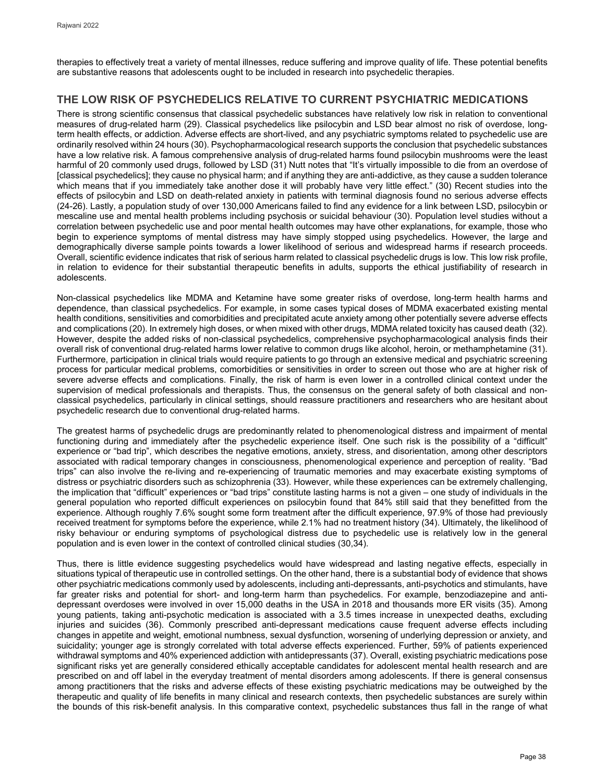therapies to effectively treat a variety of mental illnesses, reduce suffering and improve quality of life. These potential benefits are substantive reasons that adolescents ought to be included in research into psychedelic therapies.

# **THE LOW RISK OF PSYCHEDELICS RELATIVE TO CURRENT PSYCHIATRIC MEDICATIONS**

There is strong scientific consensus that classical psychedelic substances have relatively low risk in relation to conventional measures of drug-related harm (29). Classical psychedelics like psilocybin and LSD bear almost no risk of overdose, longterm health effects, or addiction. Adverse effects are short-lived, and any psychiatric symptoms related to psychedelic use are ordinarily resolved within 24 hours (30). Psychopharmacological research supports the conclusion that psychedelic substances have a low relative risk. A famous comprehensive analysis of drug-related harms found psilocybin mushrooms were the least harmful of 20 commonly used drugs, followed by LSD (31) Nutt notes that "It's virtually impossible to die from an overdose of [classical psychedelics]; they cause no physical harm; and if anything they are anti-addictive, as they cause a sudden tolerance which means that if you immediately take another dose it will probably have very little effect." (30) Recent studies into the effects of psilocybin and LSD on death-related anxiety in patients with terminal diagnosis found no serious adverse effects (24-26). Lastly, a population study of over 130,000 Americans failed to find any evidence for a link between LSD, psilocybin or mescaline use and mental health problems including psychosis or suicidal behaviour (30). Population level studies without a correlation between psychedelic use and poor mental health outcomes may have other explanations, for example, those who begin to experience symptoms of mental distress may have simply stopped using psychedelics. However, the large and demographically diverse sample points towards a lower likelihood of serious and widespread harms if research proceeds. Overall, scientific evidence indicates that risk of serious harm related to classical psychedelic drugs is low. This low risk profile, in relation to evidence for their substantial therapeutic benefits in adults, supports the ethical justifiability of research in adolescents.

Non-classical psychedelics like MDMA and Ketamine have some greater risks of overdose, long-term health harms and dependence, than classical psychedelics. For example, in some cases typical doses of MDMA exacerbated existing mental health conditions, sensitivities and comorbidities and precipitated acute anxiety among other potentially severe adverse effects and complications (20). In extremely high doses, or when mixed with other drugs, MDMA related toxicity has caused death (32). However, despite the added risks of non-classical psychedelics, comprehensive psychopharmacological analysis finds their overall risk of conventional drug-related harms lower relative to common drugs like alcohol, heroin, or methamphetamine (31). Furthermore, participation in clinical trials would require patients to go through an extensive medical and psychiatric screening process for particular medical problems, comorbidities or sensitivities in order to screen out those who are at higher risk of severe adverse effects and complications. Finally, the risk of harm is even lower in a controlled clinical context under the supervision of medical professionals and therapists. Thus, the consensus on the general safety of both classical and nonclassical psychedelics, particularly in clinical settings, should reassure practitioners and researchers who are hesitant about psychedelic research due to conventional drug-related harms.

The greatest harms of psychedelic drugs are predominantly related to phenomenological distress and impairment of mental functioning during and immediately after the psychedelic experience itself. One such risk is the possibility of a "difficult" experience or "bad trip", which describes the negative emotions, anxiety, stress, and disorientation, among other descriptors associated with radical temporary changes in consciousness, phenomenological experience and perception of reality. "Bad trips" can also involve the re-living and re-experiencing of traumatic memories and may exacerbate existing symptoms of distress or psychiatric disorders such as schizophrenia (33). However, while these experiences can be extremely challenging, the implication that "difficult" experiences or "bad trips" constitute lasting harms is not a given – one study of individuals in the general population who reported difficult experiences on psilocybin found that 84% still said that they benefitted from the experience. Although roughly 7.6% sought some form treatment after the difficult experience, 97.9% of those had previously received treatment for symptoms before the experience, while 2.1% had no treatment history (34). Ultimately, the likelihood of risky behaviour or enduring symptoms of psychological distress due to psychedelic use is relatively low in the general population and is even lower in the context of controlled clinical studies (30,34).

Thus, there is little evidence suggesting psychedelics would have widespread and lasting negative effects, especially in situations typical of therapeutic use in controlled settings. On the other hand, there is a substantial body of evidence that shows other psychiatric medications commonly used by adolescents, including anti-depressants, anti-psychotics and stimulants, have far greater risks and potential for short- and long-term harm than psychedelics. For example, benzodiazepine and antidepressant overdoses were involved in over 15,000 deaths in the USA in 2018 and thousands more ER visits (35). Among young patients, taking anti-psychotic medication is associated with a 3.5 times increase in unexpected deaths, excluding injuries and suicides (36). Commonly prescribed anti-depressant medications cause frequent adverse effects including changes in appetite and weight, emotional numbness, sexual dysfunction, worsening of underlying depression or anxiety, and suicidality; younger age is strongly correlated with total adverse effects experienced. Further, 59% of patients experienced withdrawal symptoms and 40% experienced addiction with antidepressants (37). Overall, existing psychiatric medications pose significant risks yet are generally considered ethically acceptable candidates for adolescent mental health research and are prescribed on and off label in the everyday treatment of mental disorders among adolescents. If there is general consensus among practitioners that the risks and adverse effects of these existing psychiatric medications may be outweighed by the therapeutic and quality of life benefits in many clinical and research contexts, then psychedelic substances are surely within the bounds of this risk-benefit analysis. In this comparative context, psychedelic substances thus fall in the range of what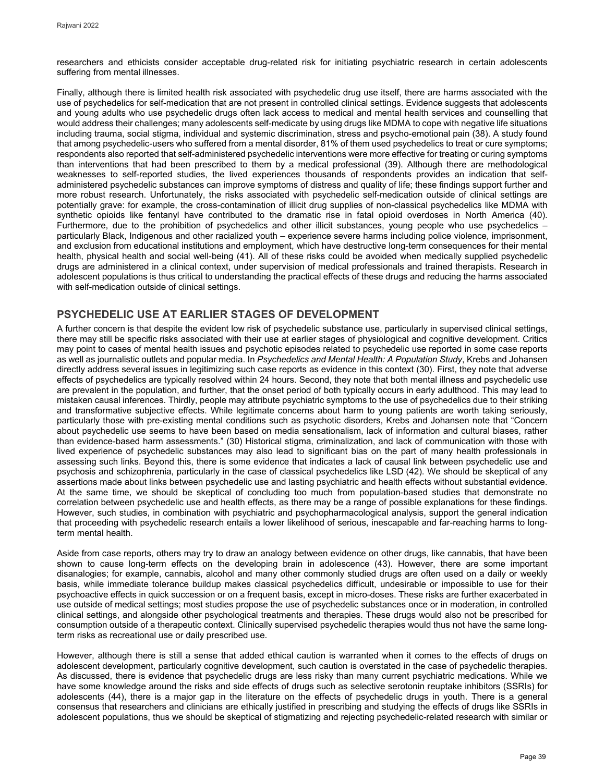researchers and ethicists consider acceptable drug-related risk for initiating psychiatric research in certain adolescents suffering from mental illnesses.

Finally, although there is limited health risk associated with psychedelic drug use itself, there are harms associated with the use of psychedelics for self-medication that are not present in controlled clinical settings. Evidence suggests that adolescents and young adults who use psychedelic drugs often lack access to medical and mental health services and counselling that would address their challenges; many adolescents self-medicate by using drugs like MDMA to cope with negative life situations including trauma, social stigma, individual and systemic discrimination, stress and psycho-emotional pain (38). A study found that among psychedelic-users who suffered from a mental disorder, 81% of them used psychedelics to treat or cure symptoms; respondents also reported that self-administered psychedelic interventions were more effective for treating or curing symptoms than interventions that had been prescribed to them by a medical professional (39). Although there are methodological weaknesses to self-reported studies, the lived experiences thousands of respondents provides an indication that selfadministered psychedelic substances can improve symptoms of distress and quality of life; these findings support further and more robust research. Unfortunately, the risks associated with psychedelic self-medication outside of clinical settings are potentially grave: for example, the cross-contamination of illicit drug supplies of non-classical psychedelics like MDMA with synthetic opioids like fentanyl have contributed to the dramatic rise in fatal opioid overdoses in North America (40). Furthermore, due to the prohibition of psychedelics and other illicit substances, young people who use psychedelics – particularly Black, Indigenous and other racialized youth – experience severe harms including police violence, imprisonment, and exclusion from educational institutions and employment, which have destructive long-term consequences for their mental health, physical health and social well-being (41). All of these risks could be avoided when medically supplied psychedelic drugs are administered in a clinical context, under supervision of medical professionals and trained therapists. Research in adolescent populations is thus critical to understanding the practical effects of these drugs and reducing the harms associated with self-medication outside of clinical settings.

# **PSYCHEDELIC USE AT EARLIER STAGES OF DEVELOPMENT**

A further concern is that despite the evident low risk of psychedelic substance use, particularly in supervised clinical settings, there may still be specific risks associated with their use at earlier stages of physiological and cognitive development. Critics may point to cases of mental health issues and psychotic episodes related to psychedelic use reported in some case reports as well as journalistic outlets and popular media. In *Psychedelics and Mental Health: A Population Study*, Krebs and Johansen directly address several issues in legitimizing such case reports as evidence in this context (30). First, they note that adverse effects of psychedelics are typically resolved within 24 hours. Second, they note that both mental illness and psychedelic use are prevalent in the population, and further, that the onset period of both typically occurs in early adulthood. This may lead to mistaken causal inferences. Thirdly, people may attribute psychiatric symptoms to the use of psychedelics due to their striking and transformative subjective effects. While legitimate concerns about harm to young patients are worth taking seriously, particularly those with pre-existing mental conditions such as psychotic disorders, Krebs and Johansen note that "Concern about psychedelic use seems to have been based on media sensationalism, lack of information and cultural biases, rather than evidence-based harm assessments." (30) Historical stigma, criminalization, and lack of communication with those with lived experience of psychedelic substances may also lead to significant bias on the part of many health professionals in assessing such links. Beyond this, there is some evidence that indicates a lack of causal link between psychedelic use and psychosis and schizophrenia, particularly in the case of classical psychedelics like LSD (42). We should be skeptical of any assertions made about links between psychedelic use and lasting psychiatric and health effects without substantial evidence. At the same time, we should be skeptical of concluding too much from population-based studies that demonstrate no correlation between psychedelic use and health effects, as there may be a range of possible explanations for these findings. However, such studies, in combination with psychiatric and psychopharmacological analysis, support the general indication that proceeding with psychedelic research entails a lower likelihood of serious, inescapable and far-reaching harms to longterm mental health.

Aside from case reports, others may try to draw an analogy between evidence on other drugs, like cannabis, that have been shown to cause long-term effects on the developing brain in adolescence (43). However, there are some important disanalogies; for example, cannabis, alcohol and many other commonly studied drugs are often used on a daily or weekly basis, while immediate tolerance buildup makes classical psychedelics difficult, undesirable or impossible to use for their psychoactive effects in quick succession or on a frequent basis, except in micro-doses. These risks are further exacerbated in use outside of medical settings; most studies propose the use of psychedelic substances once or in moderation, in controlled clinical settings, and alongside other psychological treatments and therapies. These drugs would also not be prescribed for consumption outside of a therapeutic context. Clinically supervised psychedelic therapies would thus not have the same longterm risks as recreational use or daily prescribed use.

However, although there is still a sense that added ethical caution is warranted when it comes to the effects of drugs on adolescent development, particularly cognitive development, such caution is overstated in the case of psychedelic therapies. As discussed, there is evidence that psychedelic drugs are less risky than many current psychiatric medications. While we have some knowledge around the risks and side effects of drugs such as selective serotonin reuptake inhibitors (SSRIs) for adolescents (44), there is a major gap in the literature on the effects of psychedelic drugs in youth. There is a general consensus that researchers and clinicians are ethically justified in prescribing and studying the effects of drugs like SSRIs in adolescent populations, thus we should be skeptical of stigmatizing and rejecting psychedelic-related research with similar or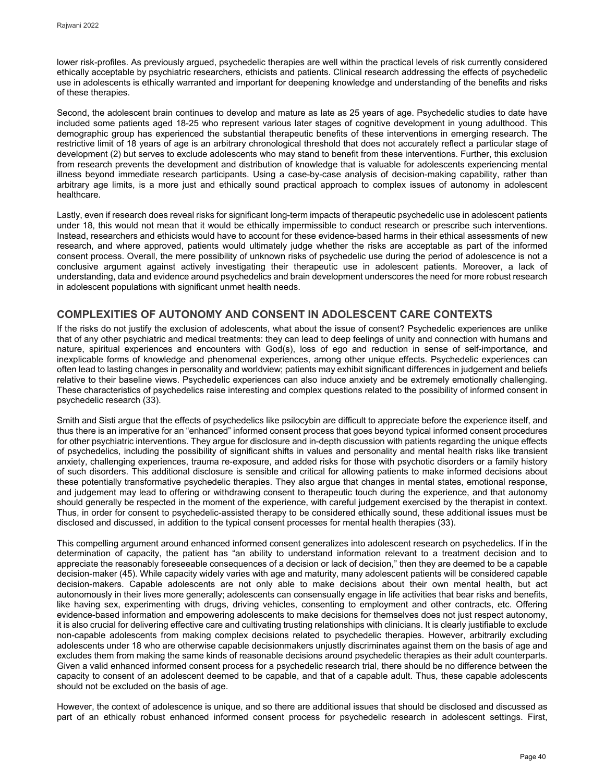lower risk-profiles. As previously argued, psychedelic therapies are well within the practical levels of risk currently considered ethically acceptable by psychiatric researchers, ethicists and patients. Clinical research addressing the effects of psychedelic use in adolescents is ethically warranted and important for deepening knowledge and understanding of the benefits and risks of these therapies.

Second, the adolescent brain continues to develop and mature as late as 25 years of age. Psychedelic studies to date have included some patients aged 18-25 who represent various later stages of cognitive development in young adulthood. This demographic group has experienced the substantial therapeutic benefits of these interventions in emerging research. The restrictive limit of 18 years of age is an arbitrary chronological threshold that does not accurately reflect a particular stage of development (2) but serves to exclude adolescents who may stand to benefit from these interventions. Further, this exclusion from research prevents the development and distribution of knowledge that is valuable for adolescents experiencing mental illness beyond immediate research participants. Using a case-by-case analysis of decision-making capability, rather than arbitrary age limits, is a more just and ethically sound practical approach to complex issues of autonomy in adolescent healthcare.

Lastly, even if research does reveal risks for significant long-term impacts of therapeutic psychedelic use in adolescent patients under 18, this would not mean that it would be ethically impermissible to conduct research or prescribe such interventions. Instead, researchers and ethicists would have to account for these evidence-based harms in their ethical assessments of new research, and where approved, patients would ultimately judge whether the risks are acceptable as part of the informed consent process. Overall, the mere possibility of unknown risks of psychedelic use during the period of adolescence is not a conclusive argument against actively investigating their therapeutic use in adolescent patients. Moreover, a lack of understanding, data and evidence around psychedelics and brain development underscores the need for more robust research in adolescent populations with significant unmet health needs.

# **COMPLEXITIES OF AUTONOMY AND CONSENT IN ADOLESCENT CARE CONTEXTS**

If the risks do not justify the exclusion of adolescents, what about the issue of consent? Psychedelic experiences are unlike that of any other psychiatric and medical treatments: they can lead to deep feelings of unity and connection with humans and nature, spiritual experiences and encounters with God(s), loss of ego and reduction in sense of self-importance, and inexplicable forms of knowledge and phenomenal experiences, among other unique effects. Psychedelic experiences can often lead to lasting changes in personality and worldview; patients may exhibit significant differences in judgement and beliefs relative to their baseline views. Psychedelic experiences can also induce anxiety and be extremely emotionally challenging. These characteristics of psychedelics raise interesting and complex questions related to the possibility of informed consent in psychedelic research (33).

Smith and Sisti argue that the effects of psychedelics like psilocybin are difficult to appreciate before the experience itself, and thus there is an imperative for an "enhanced" informed consent process that goes beyond typical informed consent procedures for other psychiatric interventions. They argue for disclosure and in-depth discussion with patients regarding the unique effects of psychedelics, including the possibility of significant shifts in values and personality and mental health risks like transient anxiety, challenging experiences, trauma re-exposure, and added risks for those with psychotic disorders or a family history of such disorders. This additional disclosure is sensible and critical for allowing patients to make informed decisions about these potentially transformative psychedelic therapies. They also argue that changes in mental states, emotional response, and judgement may lead to offering or withdrawing consent to therapeutic touch during the experience, and that autonomy should generally be respected in the moment of the experience, with careful judgement exercised by the therapist in context. Thus, in order for consent to psychedelic-assisted therapy to be considered ethically sound, these additional issues must be disclosed and discussed, in addition to the typical consent processes for mental health therapies (33).

This compelling argument around enhanced informed consent generalizes into adolescent research on psychedelics. If in the determination of capacity, the patient has "an ability to understand information relevant to a treatment decision and to appreciate the reasonably foreseeable consequences of a decision or lack of decision," then they are deemed to be a capable decision-maker (45). While capacity widely varies with age and maturity, many adolescent patients will be considered capable decision-makers. Capable adolescents are not only able to make decisions about their own mental health, but act autonomously in their lives more generally; adolescents can consensually engage in life activities that bear risks and benefits, like having sex, experimenting with drugs, driving vehicles, consenting to employment and other contracts, etc. Offering evidence-based information and empowering adolescents to make decisions for themselves does not just respect autonomy, it is also crucial for delivering effective care and cultivating trusting relationships with clinicians. It is clearly justifiable to exclude non-capable adolescents from making complex decisions related to psychedelic therapies. However, arbitrarily excluding adolescents under 18 who are otherwise capable decisionmakers unjustly discriminates against them on the basis of age and excludes them from making the same kinds of reasonable decisions around psychedelic therapies as their adult counterparts. Given a valid enhanced informed consent process for a psychedelic research trial, there should be no difference between the capacity to consent of an adolescent deemed to be capable, and that of a capable adult. Thus, these capable adolescents should not be excluded on the basis of age.

However, the context of adolescence is unique, and so there are additional issues that should be disclosed and discussed as part of an ethically robust enhanced informed consent process for psychedelic research in adolescent settings. First,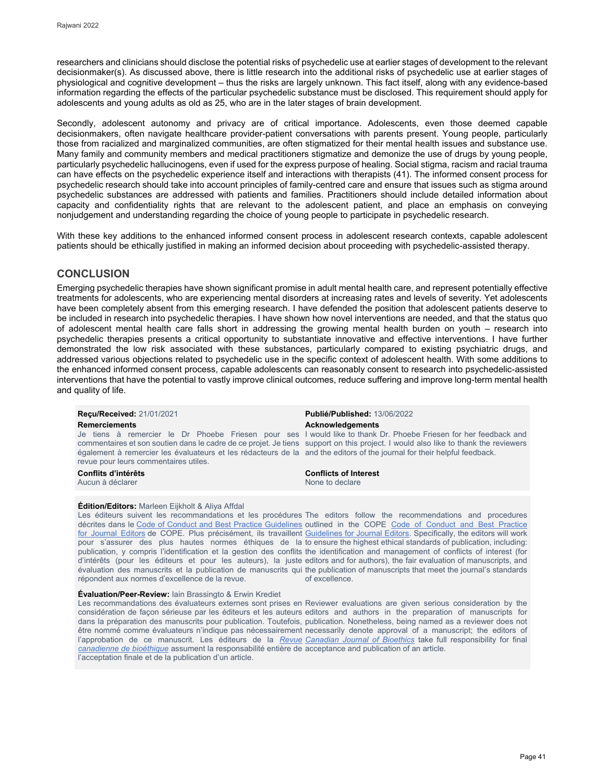researchers and clinicians should disclose the potential risks of psychedelic use at earlier stages of development to the relevant decisionmaker(s). As discussed above, there is little research into the additional risks of psychedelic use at earlier stages of physiological and cognitive development – thus the risks are largely unknown. This fact itself, along with any evidence-based information regarding the effects of the particular psychedelic substance must be disclosed. This requirement should apply for adolescents and young adults as old as 25, who are in the later stages of brain development.

Secondly, adolescent autonomy and privacy are of critical importance. Adolescents, even those deemed capable decisionmakers, often navigate healthcare provider-patient conversations with parents present. Young people, particularly those from racialized and marginalized communities, are often stigmatized for their mental health issues and substance use. Many family and community members and medical practitioners stigmatize and demonize the use of drugs by young people, particularly psychedelic hallucinogens, even if used for the express purpose of healing. Social stigma, racism and racial trauma can have effects on the psychedelic experience itself and interactions with therapists (41). The informed consent process for psychedelic research should take into account principles of family-centred care and ensure that issues such as stigma around psychedelic substances are addressed with patients and families. Practitioners should include detailed information about capacity and confidentiality rights that are relevant to the adolescent patient, and place an emphasis on conveying nonjudgement and understanding regarding the choice of young people to participate in psychedelic research.

With these key additions to the enhanced informed consent process in adolescent research contexts, capable adolescent patients should be ethically justified in making an informed decision about proceeding with psychedelic-assisted therapy.

## **CONCLUSION**

Emerging psychedelic therapies have shown significant promise in adult mental health care, and represent potentially effective treatments for adolescents, who are experiencing mental disorders at increasing rates and levels of severity. Yet adolescents have been completely absent from this emerging research. I have defended the position that adolescent patients deserve to be included in research into psychedelic therapies. I have shown how novel interventions are needed, and that the status quo of adolescent mental health care falls short in addressing the growing mental health burden on youth – research into psychedelic therapies presents a critical opportunity to substantiate innovative and effective interventions. I have further demonstrated the low risk associated with these substances, particularly compared to existing psychiatric drugs, and addressed various objections related to psychedelic use in the specific context of adolescent health. With some additions to the enhanced informed consent process, capable adolescents can reasonably consent to research into psychedelic-assisted interventions that have the potential to vastly improve clinical outcomes, reduce suffering and improve long-term mental health and quality of life.

# **Remerciements Acknowledgements** *Acknowledgements*

également à remercier les évaluateurs et les rédacteurs de la and the editors of the journal for their helpful feedback. revue pour leurs commentaires utiles.

Aucun à déclarer

### **Édition/Editors:** Marleen Eijkholt & Aliya Affdal

décrites dans le [Code of Conduct and Best Practice Guidelines](http://publicationethics.org/resources/code-conduct) outlined in the COPE Code of Conduct and Best Practice <u>[for Journal Editors](http://publicationethics.org/resources/code-conduct)</u> de COPE. Plus précisément, ils travaillent <u>Guidelines for Journal Editors</u>. Specifically, the editors will work pour s'assurer des plus hautes normes éthiques de la to ensure the highest ethical standards of publication, including: publication, y compris l'identification et la gestion des conflits the identification and management of conflicts of interest (for d'intérêts (pour les éditeurs et pour les auteurs), la juste editors and for authors), the fair evaluation of manuscripts, and évaluation des manuscrits et la publication de manuscrits qui the publication of manuscripts that meet the journal's standards répondent aux normes d'excellence de la revue.

### **Évaluation/Peer-Review:** Iain Brassingto & Erwin Krediet

Les recommandations des évaluateurs externes sont prises en Reviewer evaluations are given serious consideration by the considération de façon sérieuse par les éditeurs et les auteurs editors and authors in the preparation of manuscripts for dans la préparation des manuscrits pour publication. Toutefois, publication. Nonetheless, being named as a reviewer does not être nommé comme évaluateurs n'indique pas nécessairement necessarily denote approval of a manuscript; the editors of l'approbation de ce manuscrit. Les éditeurs de la <u>*Revue* Canadian Jo*urnal of Bioethics*</u> take full responsibility for final *[canadienne de bioéthique](http://cjb-rcb.ca/)* assument la responsabilité entière de acceptance and publication of an article. l'acceptation finale et de la publication d'un article.

**Reçu/Received:** 21/01/2021 **Publié/Published:** 13/06/2022

Je tiens à remercier le Dr Phoebe Friesen pour ses I would like to thank Dr. Phoebe Friesen for her feedback and commentaires et son soutien dans le cadre de ce projet. Je tiens support on this project. I would also like to thank the reviewers

**Conflits d'intérêts Conflicts of Interest**

Les éditeurs suivent les recommandations et les procédures The editors follow the recommendations and procedures of excellence.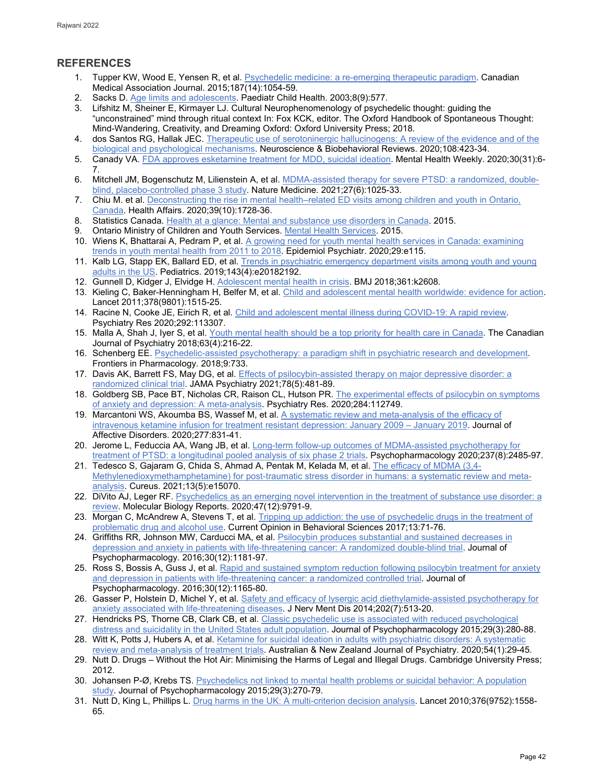# **REFERENCES**

- 1. Tupper KW, Wood E, Yensen R, et al[. Psychedelic medicine: a re-emerging therapeutic paradigm.](https://www.ncbi.nlm.nih.gov/pmc/articles/PMC4592297/) Canadian Medical Association Journal. 2015;187(14):1054-59.
- 2. Sacks D. [Age limits and adolescents.](https://doi.org/10.1093/pch/8.9.577) Paediatr Child Health. 2003;8(9):577.
- 3. Lifshitz M, Sheiner E, Kirmayer LJ. Cultural Neurophenomenology of psychedelic thought: guiding the "unconstrained" mind through ritual context In: Fox KCK, editor. The Oxford Handbook of Spontaneous Thought: Mind-Wandering, Creativity, and Dreaming Oxford: Oxford University Press; 2018.
- 4. dos Santos RG, Hallak JEC. Therapeutic use of serotoninergic hallucinogens: A review of the evidence and of the [biological and psychological mechanisms.](https://pubmed.ncbi.nlm.nih.gov/31809772/) Neuroscience & Biobehavioral Reviews. 2020;108:423-34.
- 5. Canady VA. [FDA approves esketamine treatment for MDD, suicidal ideation.](https://onlinelibrary.wiley.com/doi/abs/10.1002/mhw.32471) Mental Health Weekly. 2020;30(31):6- 7.
- 6. Mitchell JM, Bogenschutz M, Lilienstein A, et al. [MDMA-assisted therapy for severe PTSD: a randomized, double](https://www.nature.com/articles/s41591-021-01336-3)[blind, placebo-controlled phase 3 study.](https://www.nature.com/articles/s41591-021-01336-3) Nature Medicine. 2021;27(6):1025-33.
- 7. Chiu M. et al. [Deconstructing the rise in mental health–related ED visits among children and youth in](https://www.healthaffairs.org/doi/abs/10.1377/hlthaff.2020.00232) Ontario, [Canada.](https://www.healthaffairs.org/doi/abs/10.1377/hlthaff.2020.00232) Health Affairs. 2020;39(10):1728-36.
- 8. Statistics Canada[. Health at a glance: Mental and substance use disorders in Canada.](https://www150.statcan.gc.ca/n1/pub/82-624-x/82-624-x2013001-eng.htm) 2015.
- 9. Ontario Ministry of Children and Youth Services. [Mental Health Services.](https://www.ontario.ca/page/mental-health-services-children-and-youth) 2015.
- 10. Wiens K, Bhattarai A, Pedram P, et al. A growing need for youth mental health services in Canada: examining [trends in youth mental health from 2011 to 2018.](https://www.ncbi.nlm.nih.gov/pmc/articles/PMC7214527/) Epidemiol Psychiatr. 2020;29:e115.
- 11. Kalb LG, Stapp EK, Ballard ED, et al. Trends in psychiatric emergency [department visits among youth and young](https://jhu.pure.elsevier.com/en/publications/trends-in-psychiatric-emergency-department-visits-among-youth-and)  [adults in the US.](https://jhu.pure.elsevier.com/en/publications/trends-in-psychiatric-emergency-department-visits-among-youth-and) Pediatrics. 2019;143(4):e20182192.
- 12. Gunnell D, Kidger J, Elvidge H. [Adolescent mental health in crisis.](https://pubmed.ncbi.nlm.nih.gov/29921659/) BMJ 2018;361:k2608.
- 13. Kieling C, Baker-Henningham H, Belfer M, et al[. Child and adolescent mental health worldwide: evidence for action.](https://pubmed.ncbi.nlm.nih.gov/22008427/)  Lancet 2011;378(9801):1515-25.
- 14. Racine N, Cooke JE, Eirich R, et al. [Child and adolescent mental illness during COVID-19: A rapid review.](https://www.ncbi.nlm.nih.gov/pmc/articles/PMC7363598/) Psychiatry Res 2020;292:113307.
- 15. Malla A, Shah J, Iyer S, et al. [Youth mental health should be a top priority for health care](https://pubmed.ncbi.nlm.nih.gov/29528719/) in Canada. The Canadian Journal of Psychiatry 2018;63(4):216-22.
- 16. Schenberg EE[. Psychedelic-assisted psychotherapy: a paradigm shift in psychiatric research and development.](https://www.ncbi.nlm.nih.gov/pmc/articles/PMC6041963/)  Frontiers in Pharmacology. 2018;9:733.
- 17. Davis AK, Barrett FS, May DG, et al[. Effects of psilocybin-assisted therapy on major depressive disorder: a](https://jamanetwork.com/journals/jamapsychiatry/fullarticle/2772630)  [randomized clinical trial.](https://jamanetwork.com/journals/jamapsychiatry/fullarticle/2772630) JAMA Psychiatry 2021;78(5):481-89.
- 18. Goldberg SB, Pace BT, Nicholas CR, Raison CL, Hutson PR. [The experimental effects of psilocybin on symptoms](https://pubmed.ncbi.nlm.nih.gov/31931272/)  [of anxiety and depression: A meta-analysis.](https://pubmed.ncbi.nlm.nih.gov/31931272/) Psychiatry Res. 2020;284:112749.
- 19. Marcantoni WS, Akoumba BS, Wassef M, et al[. A systematic review and meta-analysis of the efficacy of](https://pubmed.ncbi.nlm.nih.gov/33065824/)  [intravenous ketamine infusion for treatment resistant depression: January 2009 – January 2019.](https://pubmed.ncbi.nlm.nih.gov/33065824/) Journal of Affective Disorders. 2020;277:831-41.
- 20. Jerome L, Feduccia AA, Wang JB, et al[. Long-term follow-up outcomes of MDMA-assisted psychotherapy for](https://pubmed.ncbi.nlm.nih.gov/32500209/)  [treatment of PTSD: a longitudinal pooled analysis of six phase 2 trials.](https://pubmed.ncbi.nlm.nih.gov/32500209/) Psychopharmacology 2020;237(8):2485-97.
- 21. Tedesco S, Gajaram G, Chida S, Ahmad A, Pentak M, Kelada M, et al[. The efficacy of MDMA \(3,4-](https://www.cureus.com/articles/58217-the-efficacy-of-mdma-34-methylenedioxymethamphetamine-for-post-traumatic-stress-disorder-in-humans-a-systematic-review-and-meta-analysis) [Methylenedioxymethamphetamine\) for post-traumatic stress disorder in humans: a systematic review and meta](https://www.cureus.com/articles/58217-the-efficacy-of-mdma-34-methylenedioxymethamphetamine-for-post-traumatic-stress-disorder-in-humans-a-systematic-review-and-meta-analysis)[analysis.](https://www.cureus.com/articles/58217-the-efficacy-of-mdma-34-methylenedioxymethamphetamine-for-post-traumatic-stress-disorder-in-humans-a-systematic-review-and-meta-analysis) Cureus. 2021;13(5):e15070.
- 22. DiVito AJ, Leger RF. Psychedelics as an emerging novel intervention in the treatment of substance use disorder: a [review.](https://pubmed.ncbi.nlm.nih.gov/33231817/) Molecular Biology Reports. 2020;47(12):9791-9.
- 23. Morgan C, McAndrew A, Stevens T, et al. Tripping up addiction: the use of psychedelic drugs in the treatment of [problematic drug and alcohol use.](https://www.sciencedirect.com/science/article/pii/S2352154616302340?via%3Dihub) Current Opinion in Behavioral Sciences 2017;13:71-76.
- 24. Griffiths RR, Johnson MW, Carducci MA, et al. Psilocybin produces substantial and sustained decreases in [depression and anxiety in patients with life-threatening cancer: A randomized double-blind trial.](https://www.ncbi.nlm.nih.gov/pmc/articles/PMC5367557/) Journal of Psychopharmacology. 2016;30(12):1181-97.
- 25. Ross S, Bossis A, Guss J, et al. Rapid and sustained symptom reduction following psilocybin treatment for anxiety [and depression in patients with life-threatening cancer: a randomized controlled trial.](https://pubmed.ncbi.nlm.nih.gov/27909164/) Journal of Psychopharmacology. 2016;30(12):1165-80.
- 26. Gasser P, Holstein D, Michel Y, et al. [Safety and efficacy of lysergic acid diethylamide-assisted psychotherapy for](https://pubmed.ncbi.nlm.nih.gov/24594678/)  [anxiety associated with life-threatening diseases.](https://pubmed.ncbi.nlm.nih.gov/24594678/) J Nerv Ment Dis 2014;202(7):513-20.
- 27. Hendricks PS, Thorne CB, Clark CB, et al[. Classic psychedelic use is associated with reduced psychological](https://pubmed.ncbi.nlm.nih.gov/25586402/)  [distress and suicidality in the United States adult population.](https://pubmed.ncbi.nlm.nih.gov/25586402/) Journal of Psychopharmacology 2015;29(3):280-88.
- 28. Witt K, Potts J, Hubers A, et al. Ketamine for suicidal ideation in adults with psychiatric disorders: A systematic [review and meta-analysis of treatment trials.](https://pubmed.ncbi.nlm.nih.gov/31729893/) Australian & New Zealand Journal of Psychiatry. 2020;54(1):29-45.
- 29. Nutt D. Drugs Without the Hot Air: Minimising the Harms of Legal and Illegal Drugs. Cambridge University Press; 2012.
- 30. Johansen P-Ø, Krebs TS[. Psychedelics not linked to mental health problems or suicidal behavior: A population](https://pubmed.ncbi.nlm.nih.gov/25744618/)  [study.](https://pubmed.ncbi.nlm.nih.gov/25744618/) Journal of Psychopharmacology 2015;29(3):270-79.
- 31. Nutt D, King L, Phillips L[. Drug harms in the UK: A multi-criterion decision analysis.](https://www.thelancet.com/journals/lancet/article/PIIS0140-6736(10)61462-6/fulltext) Lancet 2010;376(9752):1558- 65.